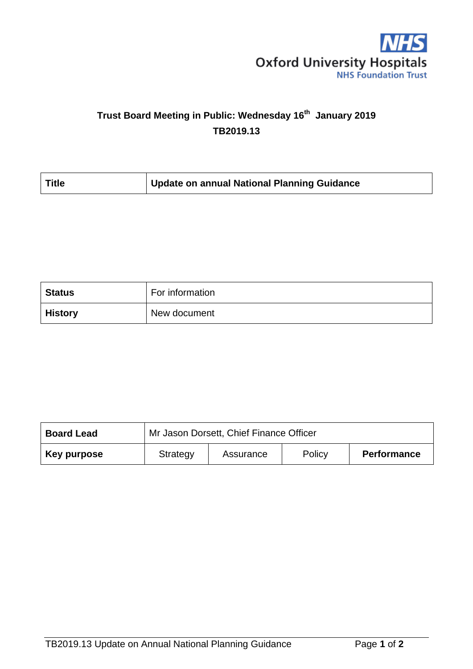

## **Trust Board Meeting in Public: Wednesday 16th January 2019 TB2019.13**

| Update on annual National Planning Guidance<br><b>Title</b> |  |
|-------------------------------------------------------------|--|
|-------------------------------------------------------------|--|

| <b>Status</b>  | For information |
|----------------|-----------------|
| <b>History</b> | New document    |

| <b>Board Lead</b> | Mr Jason Dorsett, Chief Finance Officer |           |        |                    |  |
|-------------------|-----------------------------------------|-----------|--------|--------------------|--|
| Key purpose       | Strategy                                | Assurance | Policy | <b>Performance</b> |  |